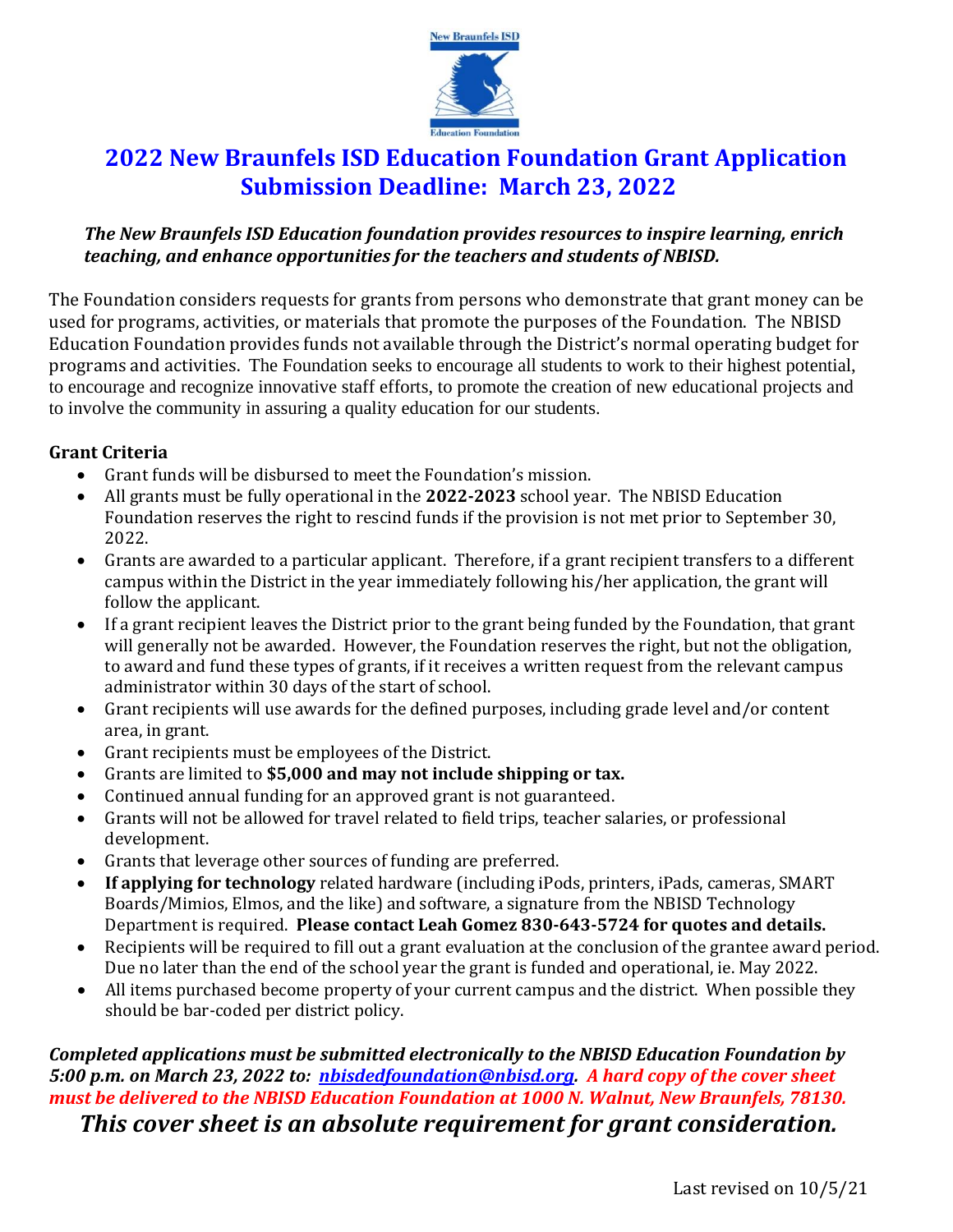

## **2022 New Braunfels ISD Education Foundation Grant Application Submission Deadline: March 23, 2022**

## *The New Braunfels ISD Education foundation provides resources to inspire learning, enrich teaching, and enhance opportunities for the teachers and students of NBISD.*

The Foundation considers requests for grants from persons who demonstrate that grant money can be used for programs, activities, or materials that promote the purposes of the Foundation. The NBISD Education Foundation provides funds not available through the District's normal operating budget for programs and activities. The Foundation seeks to encourage all students to work to their highest potential, to encourage and recognize innovative staff efforts, to promote the creation of new educational projects and to involve the community in assuring a quality education for our students.

## **Grant Criteria**

- Grant funds will be disbursed to meet the Foundation's mission.
- All grants must be fully operational in the **2022-2023** school year. The NBISD Education Foundation reserves the right to rescind funds if the provision is not met prior to September 30, 2022.
- Grants are awarded to a particular applicant. Therefore, if a grant recipient transfers to a different campus within the District in the year immediately following his/her application, the grant will follow the applicant.
- If a grant recipient leaves the District prior to the grant being funded by the Foundation, that grant will generally not be awarded. However, the Foundation reserves the right, but not the obligation, to award and fund these types of grants, if it receives a written request from the relevant campus administrator within 30 days of the start of school.
- Grant recipients will use awards for the defined purposes, including grade level and/or content area, in grant.
- Grant recipients must be employees of the District.
- Grants are limited to **\$5,000 and may not include shipping or tax.**
- Continued annual funding for an approved grant is not guaranteed.
- Grants will not be allowed for travel related to field trips, teacher salaries, or professional development.
- Grants that leverage other sources of funding are preferred.
- **If applying for technology** related hardware (including iPods, printers, iPads, cameras, SMART Boards/Mimios, Elmos, and the like) and software, a signature from the NBISD Technology Department is required. **Please contact Leah Gomez 830-643-5724 for quotes and details.**
- Recipients will be required to fill out a grant evaluation at the conclusion of the grantee award period. Due no later than the end of the school year the grant is funded and operational, ie. May 2022.
- All items purchased become property of your current campus and the district. When possible they should be bar-coded per district policy.

*Completed applications must be submitted electronically to the NBISD Education Foundation by 5:00 p.m. on March 23, 2022 to: [nbisdedfoundation@nbisd.org.](mailto:nbisdedfoundation@nbisd.org) A hard copy of the cover sheet must be delivered to the NBISD Education Foundation at 1000 N. Walnut, New Braunfels, 78130. This cover sheet is an absolute requirement for grant consideration.*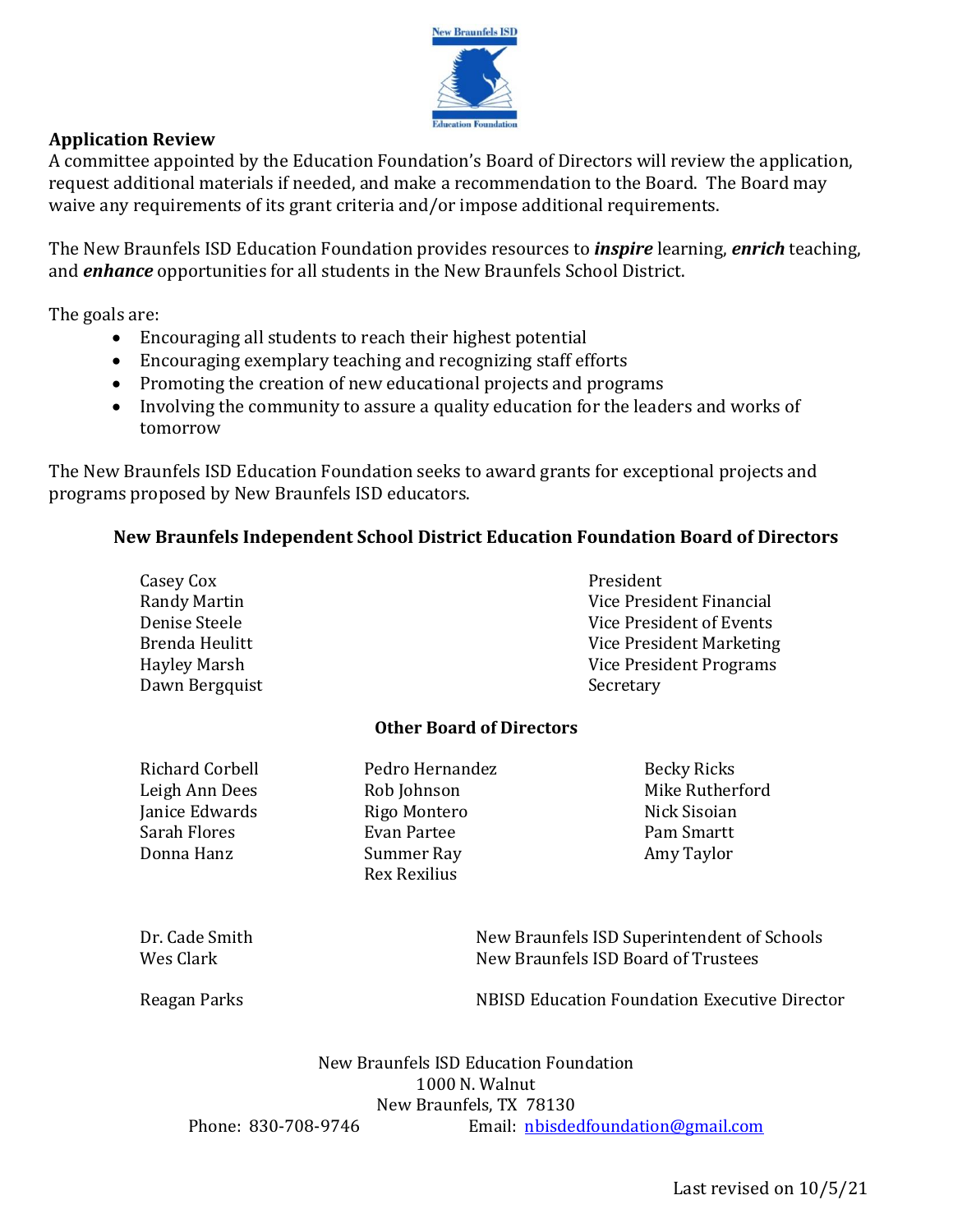

## **Application Review**

A committee appointed by the Education Foundation's Board of Directors will review the application, request additional materials if needed, and make a recommendation to the Board. The Board may waive any requirements of its grant criteria and/or impose additional requirements.

The New Braunfels ISD Education Foundation provides resources to *inspire* learning, *enrich* teaching, and *enhance* opportunities for all students in the New Braunfels School District.

The goals are:

- Encouraging all students to reach their highest potential
- Encouraging exemplary teaching and recognizing staff efforts
- Promoting the creation of new educational projects and programs
- Involving the community to assure a quality education for the leaders and works of tomorrow

The New Braunfels ISD Education Foundation seeks to award grants for exceptional projects and programs proposed by New Braunfels ISD educators.

### **New Braunfels Independent School District Education Foundation Board of Directors**

| Brenda Heulitt                                                                                                                                                                                               |                                                                                    |
|--------------------------------------------------------------------------------------------------------------------------------------------------------------------------------------------------------------|------------------------------------------------------------------------------------|
| <b>Hayley Marsh</b><br>Dawn Bergquist                                                                                                                                                                        | Vice President Programs<br>Secretary                                               |
| <b>Other Board of Directors</b>                                                                                                                                                                              |                                                                                    |
| <b>Richard Corbell</b><br>Pedro Hernandez<br>Leigh Ann Dees<br>Rob Johnson<br>Janice Edwards<br>Rigo Montero<br><b>Sarah Flores</b><br><b>Evan Partee</b><br>Donna Hanz<br>Summer Ray<br><b>Rex Rexilius</b> | <b>Becky Ricks</b><br>Mike Rutherford<br>Nick Sisoian<br>Pam Smartt<br>Amy Taylor  |
| Dr. Cade Smith<br>Wes Clark                                                                                                                                                                                  | New Braunfels ISD Superintendent of Schools<br>New Braunfels ISD Board of Trustees |
| Reagan Parks                                                                                                                                                                                                 | <b>NBISD Education Foundation Executive Director</b>                               |
| New Braunfels ISD Education Foundation<br>New Braunfels, TX 78130<br>Phone: 830-708-9746                                                                                                                     | 1000 N. Walnut<br>Email: nbisdedfoundation@gmail.com                               |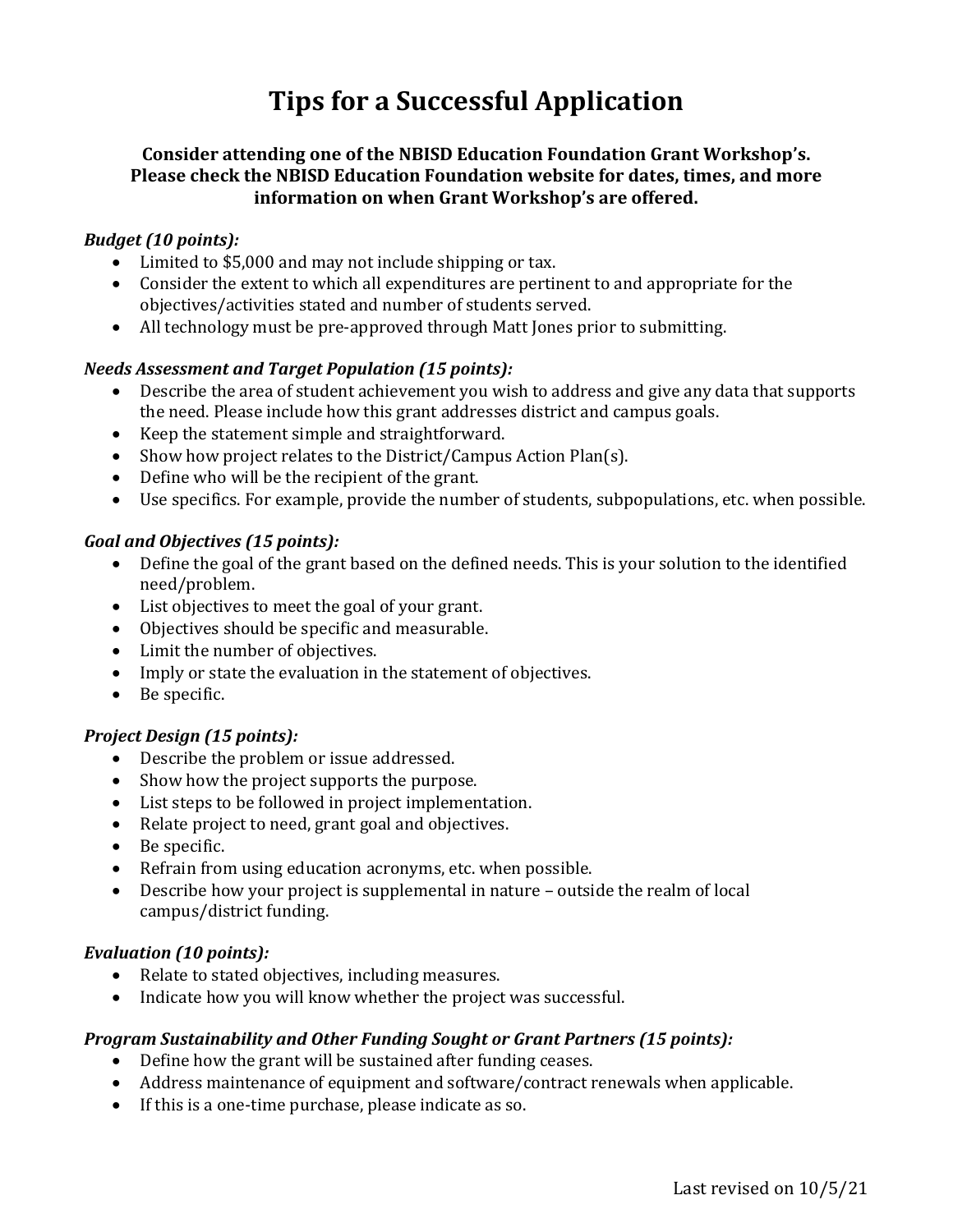# **Tips for a Successful Application**

### **Consider attending one of the NBISD Education Foundation Grant Workshop's. Please check the NBISD Education Foundation website for dates, times, and more information on when Grant Workshop's are offered.**

#### *Budget (10 points):*

- Limited to \$5,000 and may not include shipping or tax.
- Consider the extent to which all expenditures are pertinent to and appropriate for the objectives/activities stated and number of students served.
- All technology must be pre-approved through Matt Jones prior to submitting.

#### *Needs Assessment and Target Population (15 points):*

- Describe the area of student achievement you wish to address and give any data that supports the need. Please include how this grant addresses district and campus goals.
- Keep the statement simple and straightforward.
- Show how project relates to the District/Campus Action Plan(s).
- Define who will be the recipient of the grant.
- Use specifics. For example, provide the number of students, subpopulations, etc. when possible.

#### *Goal and Objectives (15 points):*

- Define the goal of the grant based on the defined needs. This is your solution to the identified need/problem.
- List objectives to meet the goal of your grant.
- Objectives should be specific and measurable.
- Limit the number of objectives.
- Imply or state the evaluation in the statement of objectives.
- Be specific.

#### *Project Design (15 points):*

- Describe the problem or issue addressed.
- Show how the project supports the purpose.
- List steps to be followed in project implementation.
- Relate project to need, grant goal and objectives.
- Be specific.
- Refrain from using education acronyms, etc. when possible.
- Describe how your project is supplemental in nature outside the realm of local campus/district funding.

#### *Evaluation (10 points):*

- Relate to stated objectives, including measures.
- Indicate how you will know whether the project was successful.

#### *Program Sustainability and Other Funding Sought or Grant Partners (15 points):*

- Define how the grant will be sustained after funding ceases.
- Address maintenance of equipment and software/contract renewals when applicable.
- If this is a one-time purchase, please indicate as so.